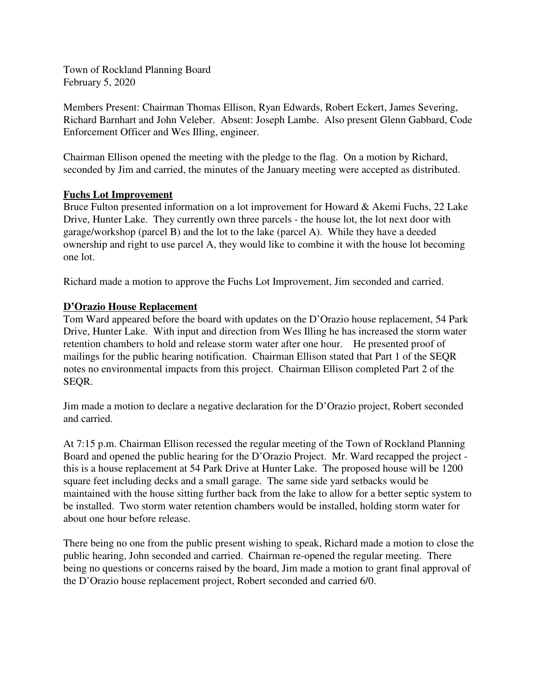Town of Rockland Planning Board February 5, 2020

Members Present: Chairman Thomas Ellison, Ryan Edwards, Robert Eckert, James Severing, Richard Barnhart and John Veleber. Absent: Joseph Lambe. Also present Glenn Gabbard, Code Enforcement Officer and Wes Illing, engineer.

Chairman Ellison opened the meeting with the pledge to the flag. On a motion by Richard, seconded by Jim and carried, the minutes of the January meeting were accepted as distributed.

## **Fuchs Lot Improvement**

Bruce Fulton presented information on a lot improvement for Howard & Akemi Fuchs, 22 Lake Drive, Hunter Lake. They currently own three parcels - the house lot, the lot next door with garage/workshop (parcel B) and the lot to the lake (parcel A). While they have a deeded ownership and right to use parcel A, they would like to combine it with the house lot becoming one lot.

Richard made a motion to approve the Fuchs Lot Improvement, Jim seconded and carried.

## **D'Orazio House Replacement**

Tom Ward appeared before the board with updates on the D'Orazio house replacement, 54 Park Drive, Hunter Lake. With input and direction from Wes Illing he has increased the storm water retention chambers to hold and release storm water after one hour. He presented proof of mailings for the public hearing notification. Chairman Ellison stated that Part 1 of the SEQR notes no environmental impacts from this project. Chairman Ellison completed Part 2 of the SEQR.

Jim made a motion to declare a negative declaration for the D'Orazio project, Robert seconded and carried.

At 7:15 p.m. Chairman Ellison recessed the regular meeting of the Town of Rockland Planning Board and opened the public hearing for the D'Orazio Project. Mr. Ward recapped the project this is a house replacement at 54 Park Drive at Hunter Lake. The proposed house will be 1200 square feet including decks and a small garage. The same side yard setbacks would be maintained with the house sitting further back from the lake to allow for a better septic system to be installed. Two storm water retention chambers would be installed, holding storm water for about one hour before release.

There being no one from the public present wishing to speak, Richard made a motion to close the public hearing, John seconded and carried. Chairman re-opened the regular meeting. There being no questions or concerns raised by the board, Jim made a motion to grant final approval of the D'Orazio house replacement project, Robert seconded and carried 6/0.